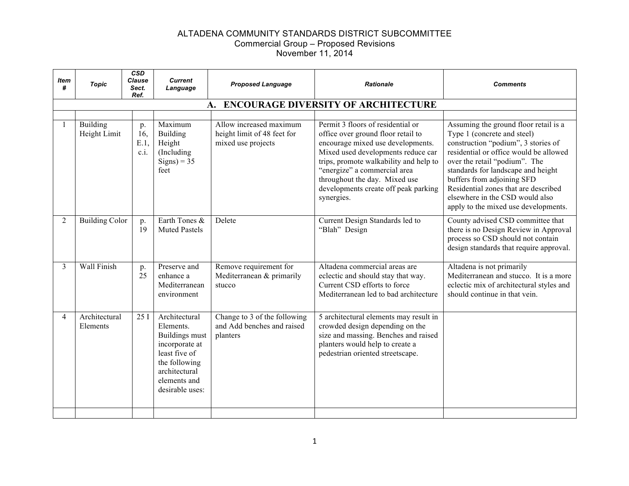| <b>Item</b><br>#         | <b>Topic</b>                    | $\overline{\text{CSD}}$<br><b>Clause</b><br>Sect.<br>Ref. | <b>Current</b><br>Language                                                                                                                           | <b>Proposed Language</b>                                                     | <b>Rationale</b>                                                                                                                                                                                                                                                                                                    | <b>Comments</b>                                                                                                                                                                                                                                                                                                                                                               |
|--------------------------|---------------------------------|-----------------------------------------------------------|------------------------------------------------------------------------------------------------------------------------------------------------------|------------------------------------------------------------------------------|---------------------------------------------------------------------------------------------------------------------------------------------------------------------------------------------------------------------------------------------------------------------------------------------------------------------|-------------------------------------------------------------------------------------------------------------------------------------------------------------------------------------------------------------------------------------------------------------------------------------------------------------------------------------------------------------------------------|
|                          |                                 |                                                           |                                                                                                                                                      | A.                                                                           | <b>ENCOURAGE DIVERSITY OF ARCHITECTURE</b>                                                                                                                                                                                                                                                                          |                                                                                                                                                                                                                                                                                                                                                                               |
|                          | <b>Building</b><br>Height Limit | p.<br>16.<br>E.1<br>c.i.                                  | Maximum<br><b>Building</b><br>Height<br>(Including)<br>$Signs$ ) = 35<br>feet                                                                        | Allow increased maximum<br>height limit of 48 feet for<br>mixed use projects | Permit 3 floors of residential or<br>office over ground floor retail to<br>encourage mixed use developments.<br>Mixed used developments reduce car<br>trips, promote walkability and help to<br>"energize" a commercial area<br>throughout the day. Mixed use<br>developments create off peak parking<br>synergies. | Assuming the ground floor retail is a<br>Type 1 (concrete and steel)<br>construction "podium", 3 stories of<br>residential or office would be allowed<br>over the retail "podium". The<br>standards for landscape and height<br>buffers from adjoining SFD<br>Residential zones that are described<br>elsewhere in the CSD would also<br>apply to the mixed use developments. |
| 2                        | <b>Building Color</b>           | p.<br>19                                                  | Earth Tones &<br><b>Muted Pastels</b>                                                                                                                | Delete                                                                       | Current Design Standards led to<br>"Blah" Design                                                                                                                                                                                                                                                                    | County advised CSD committee that<br>there is no Design Review in Approval<br>process so CSD should not contain<br>design standards that require approval.                                                                                                                                                                                                                    |
| $\mathcal{E}$            | Wall Finish                     | p.<br>25                                                  | Preserve and<br>enhance a<br>Mediterranean<br>environment                                                                                            | Remove requirement for<br>Mediterranean & primarily<br>stucco                | Altadena commercial areas are<br>eclectic and should stay that way.<br>Current CSD efforts to force<br>Mediterranean led to bad architecture                                                                                                                                                                        | Altadena is not primarily<br>Mediterranean and stucco. It is a more<br>eclectic mix of architectural styles and<br>should continue in that vein.                                                                                                                                                                                                                              |
| $\boldsymbol{\varDelta}$ | Architectural<br>Elements       | 25I                                                       | Architectural<br>Elements.<br>Buildings must<br>incorporate at<br>least five of<br>the following<br>architectural<br>elements and<br>desirable uses: | Change to 3 of the following<br>and Add benches and raised<br>planters       | 5 architectural elements may result in<br>crowded design depending on the<br>size and massing. Benches and raised<br>planters would help to create a<br>pedestrian oriented streetscape.                                                                                                                            |                                                                                                                                                                                                                                                                                                                                                                               |
|                          |                                 |                                                           |                                                                                                                                                      |                                                                              |                                                                                                                                                                                                                                                                                                                     |                                                                                                                                                                                                                                                                                                                                                                               |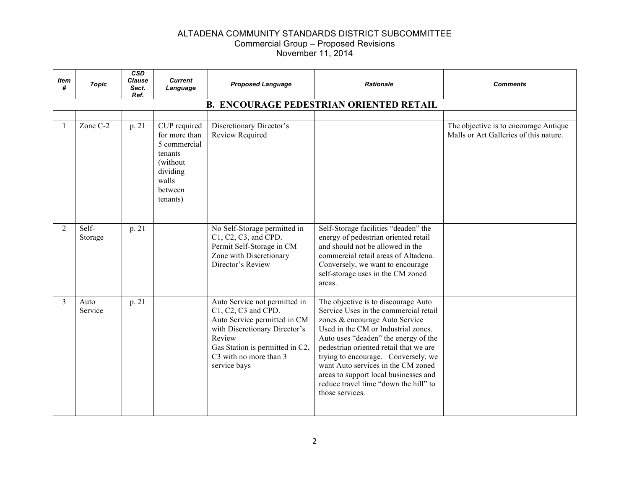| Item<br>#      | <b>Topic</b>     | <b>CSD</b><br><b>Clause</b><br>Sect.<br>Ref. | <b>Current</b><br>Language                                                                                       | <b>Proposed Language</b>                                                                                                                                                                                     | <b>Rationale</b>                                                                                                                                                                                                                                                                                                                                                                                                          | Comments                                                                        |
|----------------|------------------|----------------------------------------------|------------------------------------------------------------------------------------------------------------------|--------------------------------------------------------------------------------------------------------------------------------------------------------------------------------------------------------------|---------------------------------------------------------------------------------------------------------------------------------------------------------------------------------------------------------------------------------------------------------------------------------------------------------------------------------------------------------------------------------------------------------------------------|---------------------------------------------------------------------------------|
|                |                  |                                              |                                                                                                                  |                                                                                                                                                                                                              | <b>B. ENCOURAGE PEDESTRIAN ORIENTED RETAIL</b>                                                                                                                                                                                                                                                                                                                                                                            |                                                                                 |
|                |                  |                                              |                                                                                                                  |                                                                                                                                                                                                              |                                                                                                                                                                                                                                                                                                                                                                                                                           |                                                                                 |
|                | Zone C-2         | p. 21                                        | CUP required<br>for more than<br>5 commercial<br>tenants<br>(without<br>dividing<br>walls<br>between<br>tenants) | Discretionary Director's<br>Review Required                                                                                                                                                                  |                                                                                                                                                                                                                                                                                                                                                                                                                           | The objective is to encourage Antique<br>Malls or Art Galleries of this nature. |
|                |                  |                                              |                                                                                                                  |                                                                                                                                                                                                              |                                                                                                                                                                                                                                                                                                                                                                                                                           |                                                                                 |
| $\overline{2}$ | Self-<br>Storage | p. 21                                        |                                                                                                                  | No Self-Storage permitted in<br>C1, C2, C3, and CPD.<br>Permit Self-Storage in CM<br>Zone with Discretionary<br>Director's Review                                                                            | Self-Storage facilities "deaden" the<br>energy of pedestrian oriented retail<br>and should not be allowed in the<br>commercial retail areas of Altadena.<br>Conversely, we want to encourage<br>self-storage uses in the CM zoned<br>areas.                                                                                                                                                                               |                                                                                 |
| 3              | Auto<br>Service  | p. 21                                        |                                                                                                                  | Auto Service not permitted in<br>C1, C2, C3 and CPD.<br>Auto Service permitted in CM<br>with Discretionary Director's<br>Review<br>Gas Station is permitted in C2,<br>C3 with no more than 3<br>service bays | The objective is to discourage Auto<br>Service Uses in the commercial retail<br>zones & encourage Auto Service<br>Used in the CM or Industrial zones.<br>Auto uses "deaden" the energy of the<br>pedestrian oriented retail that we are<br>trying to encourage. Conversely, we<br>want Auto services in the CM zoned<br>areas to support local businesses and<br>reduce travel time "down the hill" to<br>those services. |                                                                                 |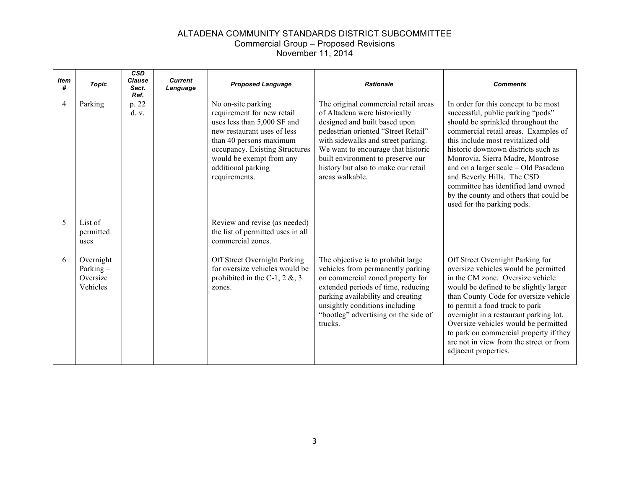| Item<br>#      | <b>Topic</b>                                     | <b>CSD</b><br><b>Clause</b><br>Sect.<br>Ref. | <b>Current</b><br>Language | <b>Proposed Language</b>                                                                                                                                                                                                                       | <b>Rationale</b>                                                                                                                                                                                                                                                                                                         | <b>Comments</b>                                                                                                                                                                                                                                                                                                                                                                                                                                              |
|----------------|--------------------------------------------------|----------------------------------------------|----------------------------|------------------------------------------------------------------------------------------------------------------------------------------------------------------------------------------------------------------------------------------------|--------------------------------------------------------------------------------------------------------------------------------------------------------------------------------------------------------------------------------------------------------------------------------------------------------------------------|--------------------------------------------------------------------------------------------------------------------------------------------------------------------------------------------------------------------------------------------------------------------------------------------------------------------------------------------------------------------------------------------------------------------------------------------------------------|
| $\overline{4}$ | Parking                                          | p. 22<br>d. v.                               |                            | No on-site parking<br>requirement for new retail<br>uses less than 5,000 SF and<br>new restaurant uses of less<br>than 40 persons maximum<br>occupancy. Existing Structures<br>would be exempt from any<br>additional parking<br>requirements. | The original commercial retail areas<br>of Altadena were historically<br>designed and built based upon<br>pedestrian oriented "Street Retail"<br>with sidewalks and street parking.<br>We want to encourage that historic<br>built environment to preserve our<br>history but also to make our retail<br>areas walkable. | In order for this concept to be most<br>successful, public parking "pods"<br>should be sprinkled throughout the<br>commercial retail areas. Examples of<br>this include most revitalized old<br>historic downtown districts such as<br>Monrovia, Sierra Madre, Montrose<br>and on a larger scale - Old Pasadena<br>and Beverly Hills. The CSD<br>committee has identified land owned<br>by the county and others that could be<br>used for the parking pods. |
| 5              | List of<br>permitted<br>uses                     |                                              |                            | Review and revise (as needed)<br>the list of permitted uses in all<br>commercial zones.                                                                                                                                                        |                                                                                                                                                                                                                                                                                                                          |                                                                                                                                                                                                                                                                                                                                                                                                                                                              |
| 6              | Overnight<br>Parking $-$<br>Oversize<br>Vehicles |                                              |                            | Off Street Overnight Parking<br>for oversize vehicles would be<br>prohibited in the C-1, 2 $\&$ , 3<br>zones.                                                                                                                                  | The objective is to prohibit large<br>vehicles from permanently parking<br>on commercial zoned property for<br>extended periods of time, reducing<br>parking availability and creating<br>unsightly conditions including<br>"bootleg" advertising on the side of<br>trucks.                                              | Off Street Overnight Parking for<br>oversize vehicles would be permitted<br>in the CM zone. Oversize vehicle<br>would be defined to be slightly larger<br>than County Code for oversize vehicle<br>to permit a food truck to park<br>overnight in a restaurant parking lot.<br>Oversize vehicles would be permitted<br>to park on commercial property if they<br>are not in view from the street or from<br>adjacent properties.                             |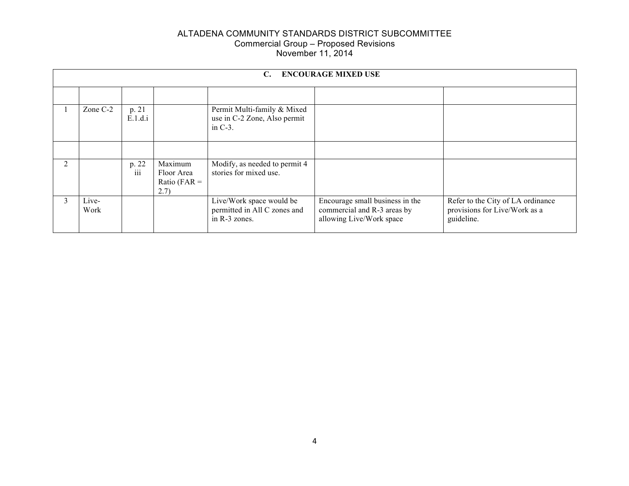|               | <b>ENCOURAGE MIXED USE</b><br>C. |                  |                                                  |                                                                           |                                                                                            |                                                                                  |  |  |
|---------------|----------------------------------|------------------|--------------------------------------------------|---------------------------------------------------------------------------|--------------------------------------------------------------------------------------------|----------------------------------------------------------------------------------|--|--|
|               |                                  |                  |                                                  |                                                                           |                                                                                            |                                                                                  |  |  |
|               | Zone C-2                         | p. 21<br>E.1.d.i |                                                  | Permit Multi-family & Mixed<br>use in C-2 Zone, Also permit<br>in $C-3$ . |                                                                                            |                                                                                  |  |  |
|               |                                  |                  |                                                  |                                                                           |                                                                                            |                                                                                  |  |  |
| 2             |                                  | p. 22<br>iii     | Maximum<br>Floor Area<br>Ratio ( $FAR =$<br>2.7) | Modify, as needed to permit 4<br>stories for mixed use.                   |                                                                                            |                                                                                  |  |  |
| $\mathcal{E}$ | Live-<br>Work                    |                  |                                                  | Live/Work space would be<br>permitted in All C zones and<br>in R-3 zones. | Encourage small business in the<br>commercial and R-3 areas by<br>allowing Live/Work space | Refer to the City of LA ordinance<br>provisions for Live/Work as a<br>guideline. |  |  |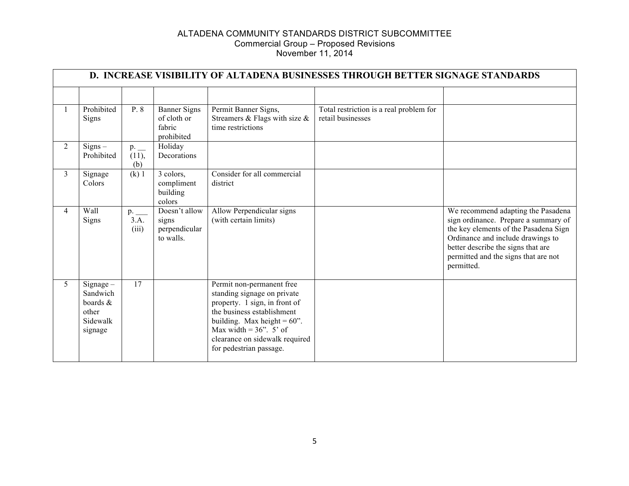|                | D. INCREASE VISIBILITY OF ALTADENA BUSINESSES THROUGH BETTER SIGNAGE STANDARDS |                              |                                                      |                                                                                                                                                                                                                                                     |                                                              |                                                                                                                                                                                                                                                      |  |  |
|----------------|--------------------------------------------------------------------------------|------------------------------|------------------------------------------------------|-----------------------------------------------------------------------------------------------------------------------------------------------------------------------------------------------------------------------------------------------------|--------------------------------------------------------------|------------------------------------------------------------------------------------------------------------------------------------------------------------------------------------------------------------------------------------------------------|--|--|
|                | Prohibited<br><b>Signs</b>                                                     | P. 8                         | <b>Banner Signs</b><br>of cloth or<br>fabric         | Permit Banner Signs,<br>Streamers & Flags with size $&$<br>time restrictions                                                                                                                                                                        | Total restriction is a real problem for<br>retail businesses |                                                                                                                                                                                                                                                      |  |  |
| $\overline{2}$ | $Signs -$<br>Prohibited                                                        | $p_{\cdot}$<br>(11),<br>(b)  | prohibited<br>Holiday<br>Decorations                 |                                                                                                                                                                                                                                                     |                                                              |                                                                                                                                                                                                                                                      |  |  |
| 3              | Signage<br>Colors                                                              | $(k)$ 1                      | 3 colors,<br>compliment<br>building<br>colors        | Consider for all commercial<br>district                                                                                                                                                                                                             |                                                              |                                                                                                                                                                                                                                                      |  |  |
| 4              | Wall<br>Signs                                                                  | $p_{\cdot}$<br>3.A.<br>(iii) | Doesn't allow<br>signs<br>perpendicular<br>to walls. | Allow Perpendicular signs<br>(with certain limits)                                                                                                                                                                                                  |                                                              | We recommend adapting the Pasadena<br>sign ordinance. Prepare a summary of<br>the key elements of the Pasadena Sign<br>Ordinance and include drawings to<br>better describe the signs that are<br>permitted and the signs that are not<br>permitted. |  |  |
| 5              | $Sigma -$<br>Sandwich<br>boards &<br>other<br>Sidewalk<br>signage              | 17                           |                                                      | Permit non-permanent free<br>standing signage on private<br>property. 1 sign, in front of<br>the business establishment<br>building. Max height = $60$ ".<br>Max width = $36$ ". 5' of<br>clearance on sidewalk required<br>for pedestrian passage. |                                                              |                                                                                                                                                                                                                                                      |  |  |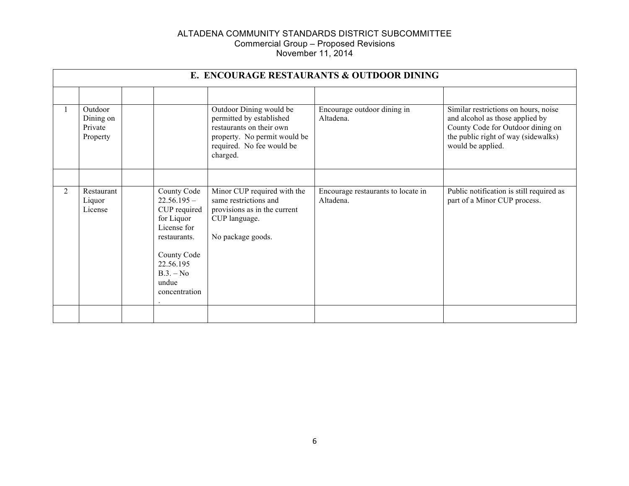|                | E. ENCOURAGE RESTAURANTS & OUTDOOR DINING   |  |                                                                                                                                                                |                                                                                                                                                          |                                                 |                                                                                                                                                                          |  |  |
|----------------|---------------------------------------------|--|----------------------------------------------------------------------------------------------------------------------------------------------------------------|----------------------------------------------------------------------------------------------------------------------------------------------------------|-------------------------------------------------|--------------------------------------------------------------------------------------------------------------------------------------------------------------------------|--|--|
|                |                                             |  |                                                                                                                                                                |                                                                                                                                                          |                                                 |                                                                                                                                                                          |  |  |
|                | Outdoor<br>Dining on<br>Private<br>Property |  |                                                                                                                                                                | Outdoor Dining would be<br>permitted by established<br>restaurants on their own<br>property. No permit would be<br>required. No fee would be<br>charged. | Encourage outdoor dining in<br>Altadena.        | Similar restrictions on hours, noise<br>and alcohol as those applied by<br>County Code for Outdoor dining on<br>the public right of way (sidewalks)<br>would be applied. |  |  |
|                |                                             |  |                                                                                                                                                                |                                                                                                                                                          |                                                 |                                                                                                                                                                          |  |  |
| $\overline{2}$ | Restaurant<br>Liquor<br>License             |  | County Code<br>$22.56.195 -$<br>CUP required<br>for Liquor<br>License for<br>restaurants.<br>County Code<br>22.56.195<br>$B.3. - No$<br>undue<br>concentration | Minor CUP required with the<br>same restrictions and<br>provisions as in the current<br>CUP language.<br>No package goods.                               | Encourage restaurants to locate in<br>Altadena. | Public notification is still required as<br>part of a Minor CUP process.                                                                                                 |  |  |
|                |                                             |  |                                                                                                                                                                |                                                                                                                                                          |                                                 |                                                                                                                                                                          |  |  |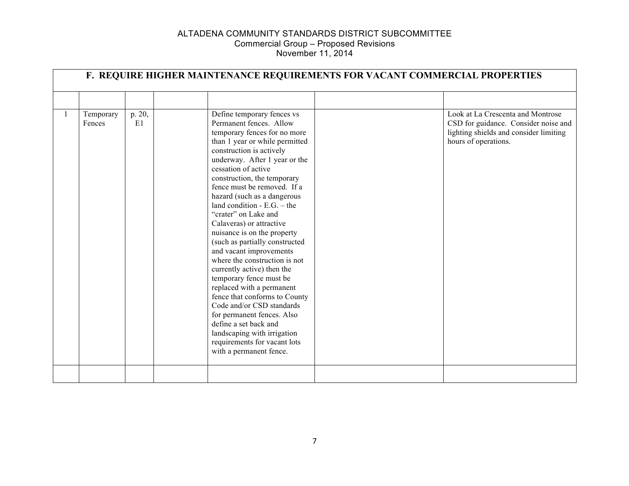|                     |              | F. REQUIRE HIGHER MAINTENANCE REQUIREMENTS FOR VACANT COMMERCIAL PROPERTIES                                                                                                                                                                                                                                                                                                                                                                                                                                                                                                                                                                                                                                                                                                                                                    |                                                                                                                                             |
|---------------------|--------------|--------------------------------------------------------------------------------------------------------------------------------------------------------------------------------------------------------------------------------------------------------------------------------------------------------------------------------------------------------------------------------------------------------------------------------------------------------------------------------------------------------------------------------------------------------------------------------------------------------------------------------------------------------------------------------------------------------------------------------------------------------------------------------------------------------------------------------|---------------------------------------------------------------------------------------------------------------------------------------------|
|                     |              |                                                                                                                                                                                                                                                                                                                                                                                                                                                                                                                                                                                                                                                                                                                                                                                                                                |                                                                                                                                             |
| Temporary<br>Fences | p. 20,<br>E1 | Define temporary fences vs<br>Permanent fences. Allow<br>temporary fences for no more<br>than 1 year or while permitted<br>construction is actively<br>underway. After 1 year or the<br>cessation of active<br>construction, the temporary<br>fence must be removed. If a<br>hazard (such as a dangerous<br>land condition $-E.G. - the$<br>"crater" on Lake and<br>Calaveras) or attractive<br>nuisance is on the property<br>(such as partially constructed<br>and vacant improvements<br>where the construction is not<br>currently active) then the<br>temporary fence must be<br>replaced with a permanent<br>fence that conforms to County<br>Code and/or CSD standards<br>for permanent fences. Also<br>define a set back and<br>landscaping with irrigation<br>requirements for vacant lots<br>with a permanent fence. | Look at La Crescenta and Montrose<br>CSD for guidance. Consider noise and<br>lighting shields and consider limiting<br>hours of operations. |
|                     |              |                                                                                                                                                                                                                                                                                                                                                                                                                                                                                                                                                                                                                                                                                                                                                                                                                                |                                                                                                                                             |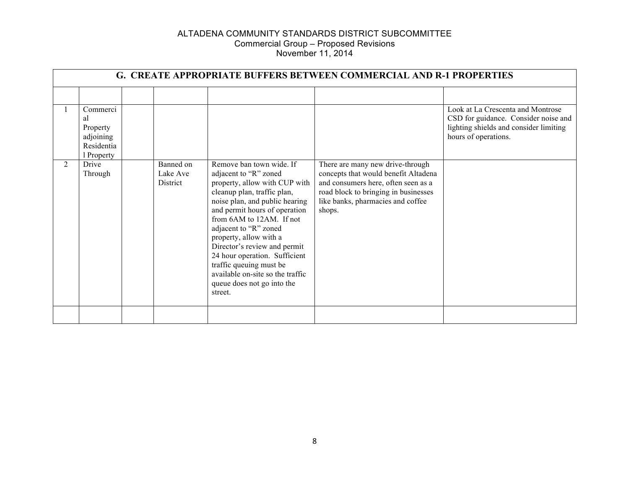|   | <b>G. CREATE APPROPRIATE BUFFERS BETWEEN COMMERCIAL AND R-1 PROPERTIES</b> |  |                                          |                                                                                                                                                                                                                                                                                                                                                                                                                                              |                                                                                                                                                                                                        |                                                                                                                                             |  |  |
|---|----------------------------------------------------------------------------|--|------------------------------------------|----------------------------------------------------------------------------------------------------------------------------------------------------------------------------------------------------------------------------------------------------------------------------------------------------------------------------------------------------------------------------------------------------------------------------------------------|--------------------------------------------------------------------------------------------------------------------------------------------------------------------------------------------------------|---------------------------------------------------------------------------------------------------------------------------------------------|--|--|
|   |                                                                            |  |                                          |                                                                                                                                                                                                                                                                                                                                                                                                                                              |                                                                                                                                                                                                        |                                                                                                                                             |  |  |
|   | Commerci<br>al<br>Property<br>adjoining<br>Residentia<br>l Property        |  |                                          |                                                                                                                                                                                                                                                                                                                                                                                                                                              |                                                                                                                                                                                                        | Look at La Crescenta and Montrose<br>CSD for guidance. Consider noise and<br>lighting shields and consider limiting<br>hours of operations. |  |  |
| 2 | Drive<br>Through                                                           |  | Banned on<br>Lake Ave<br><b>District</b> | Remove ban town wide. If<br>adjacent to "R" zoned<br>property, allow with CUP with<br>cleanup plan, traffic plan,<br>noise plan, and public hearing<br>and permit hours of operation<br>from 6AM to 12AM. If not<br>adjacent to "R" zoned<br>property, allow with a<br>Director's review and permit<br>24 hour operation. Sufficient<br>traffic queuing must be<br>available on-site so the traffic<br>queue does not go into the<br>street. | There are many new drive-through<br>concepts that would benefit Altadena<br>and consumers here, often seen as a<br>road block to bringing in businesses<br>like banks, pharmacies and coffee<br>shops. |                                                                                                                                             |  |  |
|   |                                                                            |  |                                          |                                                                                                                                                                                                                                                                                                                                                                                                                                              |                                                                                                                                                                                                        |                                                                                                                                             |  |  |